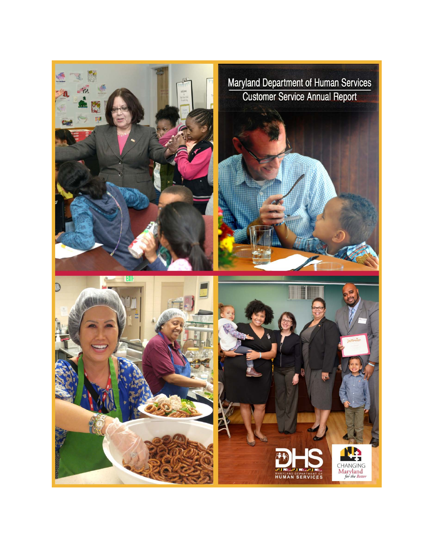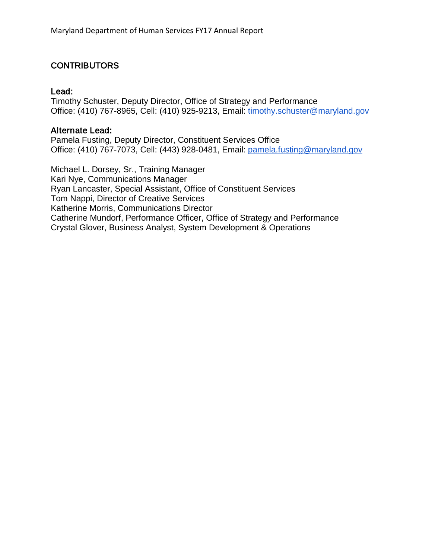### **CONTRIBUTORS**

#### Lead:

Timothy Schuster, Deputy Director, Office of Strategy and Performance Office: (410) 767-8965, Cell: (410) 925-9213, Email: [timothy.schuster@maryland.gov](mailto:timothy.schuster@maryland.gov)

#### Alternate Lead:

Pamela Fusting, Deputy Director, Constituent Services Office Office: (410) 767-7073, Cell: (443) 928-0481, Email: [pamela.fusting@maryland.gov](mailto:pamela.fusting@maryland.gov)

Michael L. Dorsey, Sr., Training Manager Kari Nye, Communications Manager Ryan Lancaster, Special Assistant, Office of Constituent Services Tom Nappi, Director of Creative Services Katherine Morris, Communications Director Catherine Mundorf, Performance Officer, Office of Strategy and Performance Crystal Glover, Business Analyst, System Development & Operations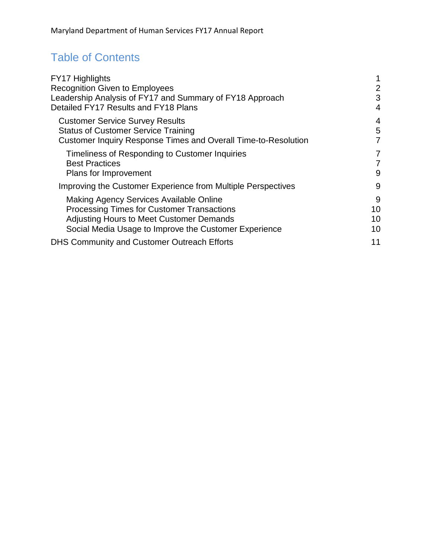# Table of Contents

| FY17 Highlights                                                       |                |
|-----------------------------------------------------------------------|----------------|
| <b>Recognition Given to Employees</b>                                 | $\overline{2}$ |
| Leadership Analysis of FY17 and Summary of FY18 Approach              | 3              |
| Detailed FY17 Results and FY18 Plans                                  | 4              |
| <b>Customer Service Survey Results</b>                                | 4              |
| <b>Status of Customer Service Training</b>                            | 5              |
| <b>Customer Inquiry Response Times and Overall Time-to-Resolution</b> | 7              |
| Timeliness of Responding to Customer Inquiries                        | $\overline{7}$ |
| <b>Best Practices</b>                                                 | $\overline{7}$ |
| Plans for Improvement                                                 | 9              |
| Improving the Customer Experience from Multiple Perspectives          | 9              |
| Making Agency Services Available Online                               | 9              |
| <b>Processing Times for Customer Transactions</b>                     | 10             |
| <b>Adjusting Hours to Meet Customer Demands</b>                       | 10             |
| Social Media Usage to Improve the Customer Experience                 | 10             |
| <b>DHS Community and Customer Outreach Efforts</b>                    | 11             |
|                                                                       |                |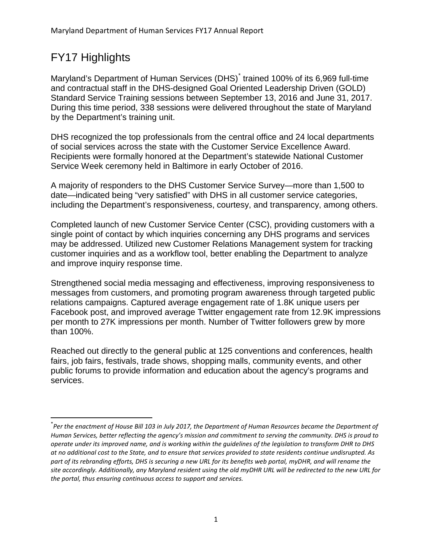## <span id="page-3-0"></span>FY17 Highlights

Maryland's Department of Human Services (DHS)<sup>[\\*](#page-3-1)</sup> trained 100% of its 6,969 full-time and contractual staff in the DHS-designed Goal Oriented Leadership Driven (GOLD) Standard Service Training sessions between September 13, 2016 and June 31, 2017. During this time period, 338 sessions were delivered throughout the state of Maryland by the Department's training unit.

DHS recognized the top professionals from the central office and 24 local departments of social services across the state with the Customer Service Excellence Award. Recipients were formally honored at the Department's statewide National Customer Service Week ceremony held in Baltimore in early October of 2016.

A majority of responders to the DHS Customer Service Survey—more than 1,500 to date—indicated being "very satisfied" with DHS in all customer service categories, including the Department's responsiveness, courtesy, and transparency, among others.

Completed launch of new Customer Service Center (CSC), providing customers with a single point of contact by which inquiries concerning any DHS programs and services may be addressed. Utilized new Customer Relations Management system for tracking customer inquiries and as a workflow tool, better enabling the Department to analyze and improve inquiry response time.

Strengthened social media messaging and effectiveness, improving responsiveness to messages from customers, and promoting program awareness through targeted public relations campaigns. Captured average engagement rate of 1.8K unique users per Facebook post, and improved average Twitter engagement rate from 12.9K impressions per month to 27K impressions per month. Number of Twitter followers grew by more than 100%.

Reached out directly to the general public at 125 conventions and conferences, health fairs, job fairs, festivals, trade shows, shopping malls, community events, and other public forums to provide information and education about the agency's programs and services.

<span id="page-3-1"></span> <sup>\*</sup> *Per the enactment of House Bill 103 in July 2017, the Department of Human Resources became the Department of Human Services, better reflecting the agency's mission and commitment to serving the community. DHS is proud to operate under its improved name, and is working within the guidelines of the legislation to transform DHR to DHS at no additional cost to the State, and to ensure that services provided to state residents continue undisrupted. As part of its rebranding efforts, DHS is securing a new URL for its benefits web portal, myDHR, and will rename the site accordingly. Additionally, any Maryland resident using the old myDHR URL will be redirected to the new URL for the portal, thus ensuring continuous access to support and services.*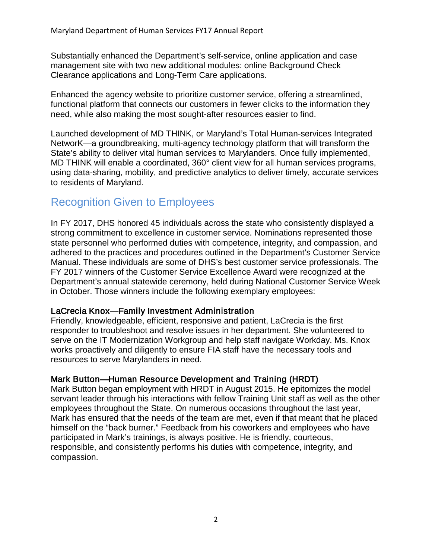Substantially enhanced the Department's self-service, online application and case management site with two new additional modules: online Background Check Clearance applications and Long-Term Care applications.

Enhanced the agency website to prioritize customer service, offering a streamlined, functional platform that connects our customers in fewer clicks to the information they need, while also making the most sought-after resources easier to find.

Launched development of MD THINK, or Maryland's Total Human-services Integrated NetworK—a groundbreaking, multi-agency technology platform that will transform the State's ability to deliver vital human services to Marylanders. Once fully implemented, MD THINK will enable a coordinated, 360° client view for all human services programs, using data-sharing, mobility, and predictive analytics to deliver timely, accurate services to residents of Maryland.

## <span id="page-4-0"></span>Recognition Given to Employees

In FY 2017, DHS honored 45 individuals across the state who consistently displayed a strong commitment to excellence in customer service. Nominations represented those state personnel who performed duties with competence, integrity, and compassion, and adhered to the practices and procedures outlined in the Department's Customer Service Manual. These individuals are some of DHS's best customer service professionals. The FY 2017 winners of the Customer Service Excellence Award were recognized at the Department's annual statewide ceremony, held during National Customer Service Week in October. Those winners include the following exemplary employees:

#### LaCrecia Knox—Family Investment Administration

Friendly, knowledgeable, efficient, responsive and patient, LaCrecia is the first responder to troubleshoot and resolve issues in her department. She volunteered to serve on the IT Modernization Workgroup and help staff navigate Workday. Ms. Knox works proactively and diligently to ensure FIA staff have the necessary tools and resources to serve Marylanders in need.

#### Mark Button—Human Resource Development and Training (HRDT)

Mark Button began employment with HRDT in August 2015. He epitomizes the model servant leader through his interactions with fellow Training Unit staff as well as the other employees throughout the State. On numerous occasions throughout the last year, Mark has ensured that the needs of the team are met, even if that meant that he placed himself on the "back burner." Feedback from his coworkers and employees who have participated in Mark's trainings, is always positive. He is friendly, courteous, responsible, and consistently performs his duties with competence, integrity, and compassion.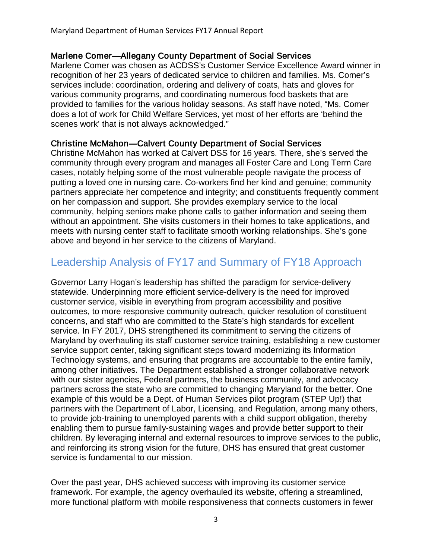#### Marlene Comer—Allegany County Department of Social Services

Marlene Comer was chosen as ACDSS's Customer Service Excellence Award winner in recognition of her 23 years of dedicated service to children and families. Ms. Comer's services include: coordination, ordering and delivery of coats, hats and gloves for various community programs, and coordinating numerous food baskets that are provided to families for the various holiday seasons. As staff have noted, "Ms. Comer does a lot of work for Child Welfare Services, yet most of her efforts are 'behind the scenes work' that is not always acknowledged."

#### Christine McMahon—Calvert County Department of Social Services

Christine McMahon has worked at Calvert DSS for 16 years. There, she's served the community through every program and manages all Foster Care and Long Term Care cases, notably helping some of the most vulnerable people navigate the process of putting a loved one in nursing care. Co-workers find her kind and genuine; community partners appreciate her competence and integrity; and constituents frequently comment on her compassion and support. She provides exemplary service to the local community, helping seniors make phone calls to gather information and seeing them without an appointment. She visits customers in their homes to take applications, and meets with nursing center staff to facilitate smooth working relationships. She's gone above and beyond in her service to the citizens of Maryland.

## <span id="page-5-0"></span>Leadership Analysis of FY17 and Summary of FY18 Approach

Governor Larry Hogan's leadership has shifted the paradigm for service-delivery statewide. Underpinning more efficient service-delivery is the need for improved customer service, visible in everything from program accessibility and positive outcomes, to more responsive community outreach, quicker resolution of constituent concerns, and staff who are committed to the State's high standards for excellent service. In FY 2017, DHS strengthened its commitment to serving the citizens of Maryland by overhauling its staff customer service training, establishing a new customer service support center, taking significant steps toward modernizing its Information Technology systems, and ensuring that programs are accountable to the entire family, among other initiatives. The Department established a stronger collaborative network with our sister agencies, Federal partners, the business community, and advocacy partners across the state who are committed to changing Maryland for the better. One example of this would be a Dept. of Human Services pilot program (STEP Up!) that partners with the Department of Labor, Licensing, and Regulation, among many others, to provide job-training to unemployed parents with a child support obligation, thereby enabling them to pursue family-sustaining wages and provide better support to their children. By leveraging internal and external resources to improve services to the public, and reinforcing its strong vision for the future, DHS has ensured that great customer service is fundamental to our mission.

Over the past year, DHS achieved success with improving its customer service framework. For example, the agency overhauled its website, offering a streamlined, more functional platform with mobile responsiveness that connects customers in fewer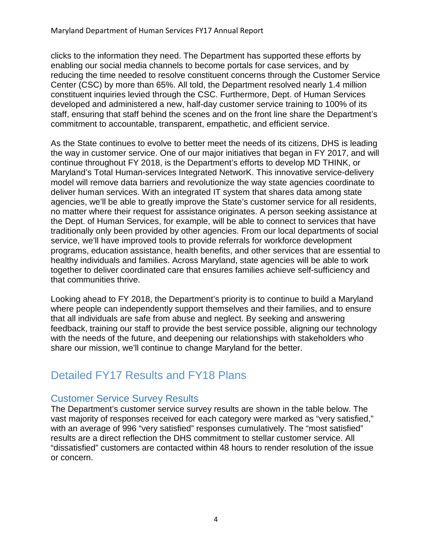clicks to the information they need. The Department has supported these efforts by enabling our social media channels to become portals for case services, and by reducing the time needed to resolve constituent concerns through the Customer Service Center (CSC) by more than 65%. All told, the Department resolved nearly 1.4 million constituent inquiries levied through the CSC. Furthermore, Dept. of Human Services developed and administered a new, half-day customer service training to 100% of its staff, ensuring that staff behind the scenes and on the front line share the Department's commitment to accountable, transparent, empathetic, and efficient service.

As the State continues to evolve to better meet the needs of its citizens, DHS is leading the way in customer service. One of our major initiatives that began in FY 2017, and will continue throughout FY 2018, is the Department's efforts to develop MD THINK, or Maryland's Total Human-services Integrated NetworK. This innovative service-delivery model will remove data barriers and revolutionize the way state agencies coordinate to deliver human services. With an integrated IT system that shares data among state agencies, we'll be able to greatly improve the State's customer service for all residents, no matter where their request for assistance originates. A person seeking assistance at the Dept. of Human Services, for example, will be able to connect to services that have traditionally only been provided by other agencies. From our local departments of social service, we'll have improved tools to provide referrals for workforce development programs, education assistance, health benefits, and other services that are essential to healthy individuals and families. Across Maryland, state agencies will be able to work together to deliver coordinated care that ensures families achieve self-sufficiency and that communities thrive.

Looking ahead to FY 2018, the Department's priority is to continue to build a Maryland where people can independently support themselves and their families, and to ensure that all individuals are safe from abuse and neglect. By seeking and answering feedback, training our staff to provide the best service possible, aligning our technology with the needs of the future, and deepening our relationships with stakeholders who share our mission, we'll continue to change Maryland for the better.

## <span id="page-6-0"></span>Detailed FY17 Results and FY18 Plans

### <span id="page-6-1"></span>Customer Service Survey Results

The Department's customer service survey results are shown in the table below. The vast majority of responses received for each category were marked as "very satisfied," with an average of 996 "very satisfied" responses cumulatively. The "most satisfied" results are a direct reflection the DHS commitment to stellar customer service. All "dissatisfied" customers are contacted within 48 hours to render resolution of the issue or concern.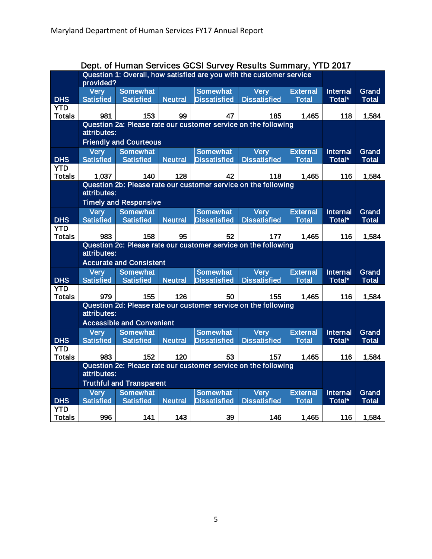<span id="page-7-0"></span>

|               |                                                                      |                                  |                | Dept. of Human Services GCSI Survey Results Summary, YTD 2017  |                     |                 |                 |              |
|---------------|----------------------------------------------------------------------|----------------------------------|----------------|----------------------------------------------------------------|---------------------|-----------------|-----------------|--------------|
|               | Question 1: Overall, how satisfied are you with the customer service |                                  |                |                                                                |                     |                 |                 |              |
|               | provided?                                                            |                                  |                |                                                                |                     |                 |                 |              |
|               | Very                                                                 | <b>Somewhat</b>                  |                | <b>Somewhat</b>                                                | <b>Very</b>         | <b>External</b> | <b>Internal</b> | Grand        |
| <b>DHS</b>    | <b>Satisfied</b>                                                     | <b>Satisfied</b>                 | <b>Neutral</b> | <b>Dissatisfied</b>                                            | <b>Dissatisfied</b> | <b>Total</b>    | Total*          | <b>Total</b> |
| <b>YTD</b>    |                                                                      |                                  |                |                                                                |                     |                 |                 |              |
| <b>Totals</b> | 981                                                                  | 153                              | 99             | 47                                                             | 185                 | 1,465           | 118             | 1,584        |
|               |                                                                      |                                  |                | Question 2a: Please rate our customer service on the following |                     |                 |                 |              |
|               | attributes:                                                          |                                  |                |                                                                |                     |                 |                 |              |
|               | <b>Friendly and Courteous</b>                                        |                                  |                |                                                                |                     |                 |                 |              |
|               | <b>Very</b>                                                          | <b>Somewhat</b>                  |                | <b>Somewhat</b>                                                | Very                | <b>External</b> | <b>Internal</b> | Grand        |
| <b>DHS</b>    | <b>Satisfied</b>                                                     | <b>Satisfied</b>                 | <b>Neutral</b> | <b>Dissatisfied</b>                                            | <b>Dissatisfied</b> | <b>Total</b>    | Total*          | <b>Total</b> |
| <b>YTD</b>    |                                                                      |                                  |                |                                                                |                     |                 |                 |              |
| <b>Totals</b> | 1,037                                                                | 140                              | 128            | 42                                                             | 118                 | 1,465           | 116             | 1,584        |
|               |                                                                      |                                  |                | Question 2b: Please rate our customer service on the following |                     |                 |                 |              |
|               | attributes:                                                          |                                  |                |                                                                |                     |                 |                 |              |
|               |                                                                      | <b>Timely and Responsive</b>     |                |                                                                |                     |                 |                 |              |
|               | <b>Very</b>                                                          | Somewhat                         |                | <b>Somewhat</b>                                                | Very                | <b>External</b> | <b>Internal</b> | Grand        |
| <b>DHS</b>    | <b>Satisfied</b>                                                     | <b>Satisfied</b>                 | <b>Neutral</b> | <b>Dissatisfied</b>                                            | <b>Dissatisfied</b> | <b>Total</b>    | Total*          | <b>Total</b> |
| <b>YTD</b>    |                                                                      |                                  |                |                                                                |                     |                 |                 |              |
| <b>Totals</b> | 983                                                                  | 158                              | 95             | 52                                                             | 177                 | 1,465           | 116             | 1,584        |
|               | Question 2c: Please rate our customer service on the following       |                                  |                |                                                                |                     |                 |                 |              |
|               | attributes:                                                          |                                  |                |                                                                |                     |                 |                 |              |
|               |                                                                      | <b>Accurate and Consistent</b>   |                |                                                                |                     |                 |                 |              |
|               | <b>Very</b>                                                          | <b>Somewhat</b>                  |                | <b>Somewhat</b>                                                | Very                | <b>External</b> | <b>Internal</b> | Grand        |
| <b>DHS</b>    | <b>Satisfied</b>                                                     | <b>Satisfied</b>                 | <b>Neutral</b> | <b>Dissatisfied</b>                                            | <b>Dissatisfied</b> | <b>Total</b>    | Total*          | <b>Total</b> |
| <b>YTD</b>    |                                                                      |                                  |                |                                                                |                     |                 |                 |              |
| <b>Totals</b> | 979                                                                  | 155                              | 126            | 50                                                             | 155                 | 1,465           | 116             | 1,584        |
|               | attributes:                                                          |                                  |                | Question 2d: Please rate our customer service on the following |                     |                 |                 |              |
|               |                                                                      |                                  |                |                                                                |                     |                 |                 |              |
|               |                                                                      | <b>Accessible and Convenient</b> |                |                                                                |                     |                 |                 |              |
|               | <b>Very</b>                                                          | <b>Somewhat</b>                  |                | <b>Somewhat</b>                                                | Very                | <b>External</b> | <b>Internal</b> | Grand        |
| <b>DHS</b>    | <b>Satisfied</b>                                                     | <b>Satisfied</b>                 | <b>Neutral</b> | <b>Dissatisfied</b>                                            | <b>Dissatisfied</b> | <b>Total</b>    | Total*          | <b>Total</b> |
| <b>YTD</b>    |                                                                      |                                  |                |                                                                |                     |                 |                 |              |
| <b>Totals</b> | 983                                                                  | 152                              | 120            | 53                                                             | 157                 | 1,465           | 116             | 1,584        |
|               | Question 2e: Please rate our customer service on the following       |                                  |                |                                                                |                     |                 |                 |              |
|               | attributes:                                                          |                                  |                |                                                                |                     |                 |                 |              |
|               | <b>Truthful and Transparent</b>                                      |                                  |                |                                                                |                     |                 |                 |              |
|               | <b>Very</b>                                                          | <b>Somewhat</b>                  |                | <b>Somewhat</b>                                                | Very                | <b>External</b> | <b>Internal</b> | Grand        |
| <b>DHS</b>    | <b>Satisfied</b>                                                     | <b>Satisfied</b>                 | <b>Neutral</b> | <b>Dissatisfied</b>                                            | <b>Dissatisfied</b> | <b>Total</b>    | Total*          | <b>Total</b> |
| <b>YTD</b>    |                                                                      |                                  |                |                                                                |                     |                 |                 |              |
| <b>Totals</b> | 996                                                                  | 141                              | 143            | 39                                                             | 146                 | 1,465           | 116             | 1,584        |

#### Dept. of Human Services GCSI Survey Results Summary, YTD 2017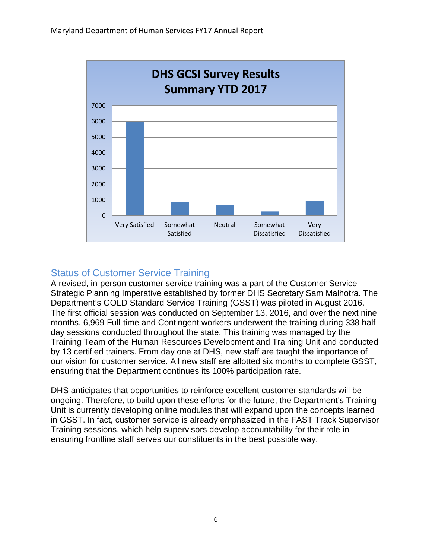

### Status of Customer Service Training

A revised, in-person customer service training was a part of the Customer Service Strategic Planning Imperative established by former DHS Secretary Sam Malhotra. The Department's GOLD Standard Service Training (GSST) was piloted in August 2016. The first official session was conducted on September 13, 2016, and over the next nine months, 6,969 Full-time and Contingent workers underwent the training during 338 halfday sessions conducted throughout the state. This training was managed by the Training Team of the Human Resources Development and Training Unit and conducted by 13 certified trainers. From day one at DHS, new staff are taught the importance of our vision for customer service. All new staff are allotted six months to complete GSST, ensuring that the Department continues its 100% participation rate.

DHS anticipates that opportunities to reinforce excellent customer standards will be ongoing. Therefore, to build upon these efforts for the future, the Department's Training Unit is currently developing online modules that will expand upon the concepts learned in GSST. In fact, customer service is already emphasized in the FAST Track Supervisor Training sessions, which help supervisors develop accountability for their role in ensuring frontline staff serves our constituents in the best possible way.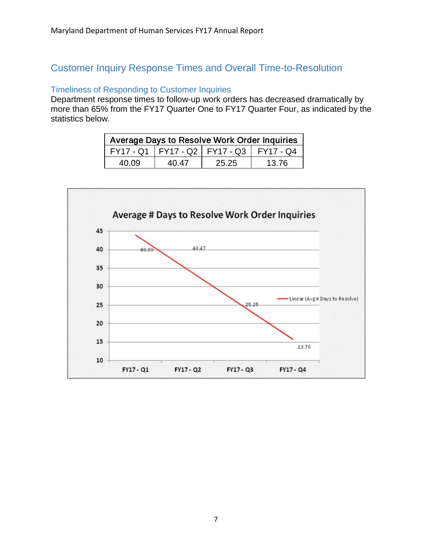### <span id="page-9-1"></span><span id="page-9-0"></span>Customer Inquiry Response Times and Overall Time-to-Resolution

#### Timeliness of Responding to Customer Inquiries

<span id="page-9-2"></span>Department response times to follow-up work orders has decreased dramatically by more than 65% from the FY17 Quarter One to FY17 Quarter Four, as indicated by the statistics below.

| Average Days to Resolve Work Order Inquiries |       |                                               |       |  |  |
|----------------------------------------------|-------|-----------------------------------------------|-------|--|--|
|                                              |       | FY17 - Q1   FY17 - Q2   FY17 - Q3   FY17 - Q4 |       |  |  |
| 40.09                                        | 40.47 | 25.25                                         | 13.76 |  |  |

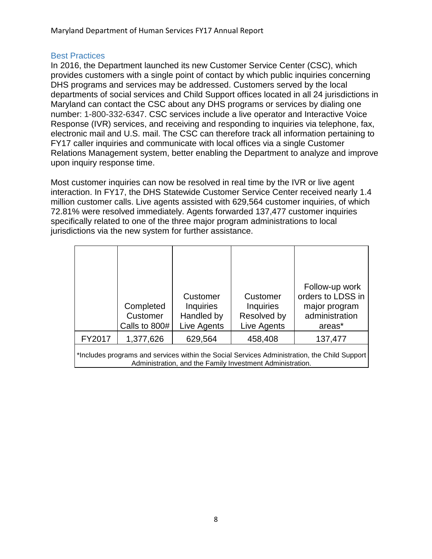#### Best Practices

In 2016, the Department launched its new Customer Service Center (CSC), which provides customers with a single point of contact by which public inquiries concerning DHS programs and services may be addressed. Customers served by the local departments of social services and Child Support offices located in all 24 jurisdictions in Maryland can contact the CSC about any DHS programs or services by dialing one number: 1-800-332-6347. CSC services include a live operator and Interactive Voice Response (IVR) services, and receiving and responding to inquiries via telephone, fax, electronic mail and U.S. mail. The CSC can therefore track all information pertaining to FY17 caller inquiries and communicate with local offices via a single Customer Relations Management system, better enabling the Department to analyze and improve upon inquiry response time.

Most customer inquiries can now be resolved in real time by the IVR or live agent interaction. In FY17, the DHS Statewide Customer Service Center received nearly 1.4 million customer calls. Live agents assisted with 629,564 customer inquiries, of which 72.81% were resolved immediately. Agents forwarded 137,477 customer inquiries specifically related to one of the three major program administrations to local jurisdictions via the new system for further assistance.

|        | Completed<br>Customer<br>Calls to 800# | Customer<br><b>Inquiries</b><br>Handled by<br>Live Agents                                    | Customer<br><b>Inquiries</b><br>Resolved by<br>Live Agents | orders to LDSS in<br>major program<br>administration<br>areas* |
|--------|----------------------------------------|----------------------------------------------------------------------------------------------|------------------------------------------------------------|----------------------------------------------------------------|
| FY2017 | 1,377,626                              | 629,564                                                                                      | 458,408                                                    | 137,477                                                        |
|        |                                        | *Includes programs and services within the Social Services Administration, the Child Support |                                                            |                                                                |

<span id="page-10-0"></span>Administration, and the Family Investment Administration.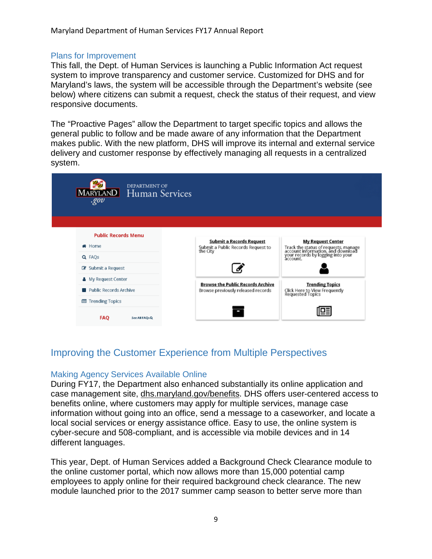#### Plans for Improvement

This fall, the Dept. of Human Services is launching a Public Information Act request system to improve transparency and customer service. Customized for DHS and for Maryland's laws, the system will be accessible through the Department's website (see below) where citizens can submit a request, check the status of their request, and view responsive documents.

The "Proactive Pages" allow the Department to target specific topics and allows the general public to follow and be made aware of any information that the Department makes public. With the new platform, DHS will improve its internal and external service delivery and customer response by effectively managing all requests in a centralized system.

| <b>DEPARTMENT OF</b><br>MARYLAND Human Services<br>qov |                                                                                |                                                                                                                            |  |
|--------------------------------------------------------|--------------------------------------------------------------------------------|----------------------------------------------------------------------------------------------------------------------------|--|
|                                                        |                                                                                |                                                                                                                            |  |
| <b>Public Records Menu</b>                             | <b>Submit a Records Request</b>                                                | <b>My Request Center</b>                                                                                                   |  |
| * Home                                                 | Submit a Public Records Request to<br>the City                                 |                                                                                                                            |  |
| Q FAQS                                                 |                                                                                | Track the status of requests, manage<br>account information, and download<br>your records by logging into your<br>account. |  |
| C Submit a Request                                     |                                                                                |                                                                                                                            |  |
| <b>&amp;</b> My Request Center                         |                                                                                | <b>Trending Topics</b><br>Click Here to View Frequently<br>Requested Topics                                                |  |
| Public Records Archive                                 | <b>Browse the Public Records Archive</b><br>Browse previously released records |                                                                                                                            |  |
| 图 Trending Topics                                      |                                                                                |                                                                                                                            |  |
| FAQ<br>See All FAQs Q                                  |                                                                                |                                                                                                                            |  |

### <span id="page-11-1"></span><span id="page-11-0"></span>Improving the Customer Experience from Multiple Perspectives

#### Making Agency Services Available Online

During FY17, the Department also enhanced substantially its online application and case management site, dhs.maryland.gov/benefits. DHS offers user-centered access to benefits online, where customers may apply for multiple services, manage case information without going into an office, send a message to a caseworker, and locate a local social services or energy assistance office. Easy to use, the online system is cyber-secure and 508-compliant, and is accessible via mobile devices and in 14 different languages.

This year, Dept. of Human Services added a Background Check Clearance module to the online customer portal, which now allows more than 15,000 potential camp employees to apply online for their required background check clearance. The new module launched prior to the 2017 summer camp season to better serve more than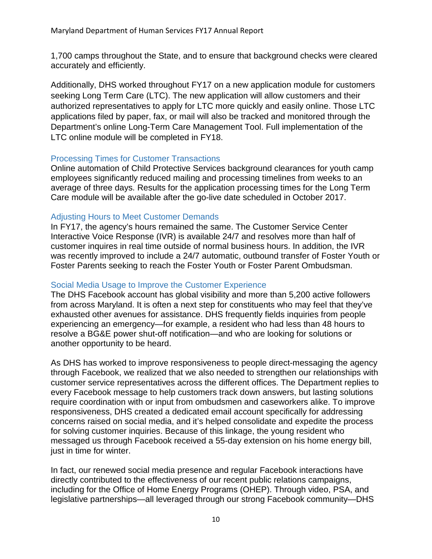1,700 camps throughout the State, and to ensure that background checks were cleared accurately and efficiently.

Additionally, DHS worked throughout FY17 on a new application module for customers seeking Long Term Care (LTC). The new application will allow customers and their authorized representatives to apply for LTC more quickly and easily online. Those LTC applications filed by paper, fax, or mail will also be tracked and monitored through the Department's online Long-Term Care Management Tool. Full implementation of the LTC online module will be completed in FY18.

#### <span id="page-12-0"></span>Processing Times for Customer Transactions

Online automation of Child Protective Services background clearances for youth camp employees significantly reduced mailing and processing timelines from weeks to an average of three days. Results for the application processing times for the Long Term Care module will be available after the go-live date scheduled in October 2017.

#### <span id="page-12-1"></span>Adjusting Hours to Meet Customer Demands

In FY17, the agency's hours remained the same. The Customer Service Center Interactive Voice Response (IVR) is available 24/7 and resolves more than half of customer inquires in real time outside of normal business hours. In addition, the IVR was recently improved to include a 24/7 automatic, outbound transfer of Foster Youth or Foster Parents seeking to reach the Foster Youth or Foster Parent Ombudsman.

#### <span id="page-12-2"></span>Social Media Usage to Improve the Customer Experience

The DHS Facebook account has global visibility and more than 5,200 active followers from across Maryland. It is often a next step for constituents who may feel that they've exhausted other avenues for assistance. DHS frequently fields inquiries from people experiencing an emergency—for example, a resident who had less than 48 hours to resolve a BG&E power shut-off notification—and who are looking for solutions or another opportunity to be heard.

As DHS has worked to improve responsiveness to people direct-messaging the agency through Facebook, we realized that we also needed to strengthen our relationships with customer service representatives across the different offices. The Department replies to every Facebook message to help customers track down answers, but lasting solutions require coordination with or input from ombudsmen and caseworkers alike. To improve responsiveness, DHS created a dedicated email account specifically for addressing concerns raised on social media, and it's helped consolidate and expedite the process for solving customer inquiries. Because of this linkage, the young resident who messaged us through Facebook received a 55-day extension on his home energy bill, just in time for winter.

In fact, our renewed social media presence and regular Facebook interactions have directly contributed to the effectiveness of our recent public relations campaigns, including for the Office of Home Energy Programs (OHEP). Through video, PSA, and legislative partnerships—all leveraged through our strong Facebook community—DHS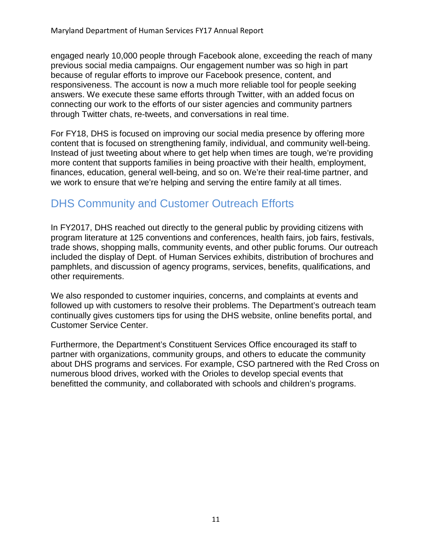engaged nearly 10,000 people through Facebook alone, exceeding the reach of many previous social media campaigns. Our engagement number was so high in part because of regular efforts to improve our Facebook presence, content, and responsiveness. The account is now a much more reliable tool for people seeking answers. We execute these same efforts through Twitter, with an added focus on connecting our work to the efforts of our sister agencies and community partners through Twitter chats, re-tweets, and conversations in real time.

For FY18, DHS is focused on improving our social media presence by offering more content that is focused on strengthening family, individual, and community well-being. Instead of just tweeting about where to get help when times are tough, we're providing more content that supports families in being proactive with their health, employment, finances, education, general well-being, and so on. We're their real-time partner, and we work to ensure that we're helping and serving the entire family at all times.

## DHS Community and Customer Outreach Efforts

In FY2017, DHS reached out directly to the general public by providing citizens with program literature at 125 conventions and conferences, health fairs, job fairs, festivals, trade shows, shopping malls, community events, and other public forums. Our outreach included the display of Dept. of Human Services exhibits, distribution of brochures and pamphlets, and discussion of agency programs, services, benefits, qualifications, and other requirements.

We also responded to customer inquiries, concerns, and complaints at events and followed up with customers to resolve their problems. The Department's outreach team continually gives customers tips for using the DHS website, online benefits portal, and Customer Service Center.

Furthermore, the Department's Constituent Services Office encouraged its staff to partner with organizations, community groups, and others to educate the community about DHS programs and services. For example, CSO partnered with the Red Cross on numerous blood drives, worked with the Orioles to develop special events that benefitted the community, and collaborated with schools and children's programs.